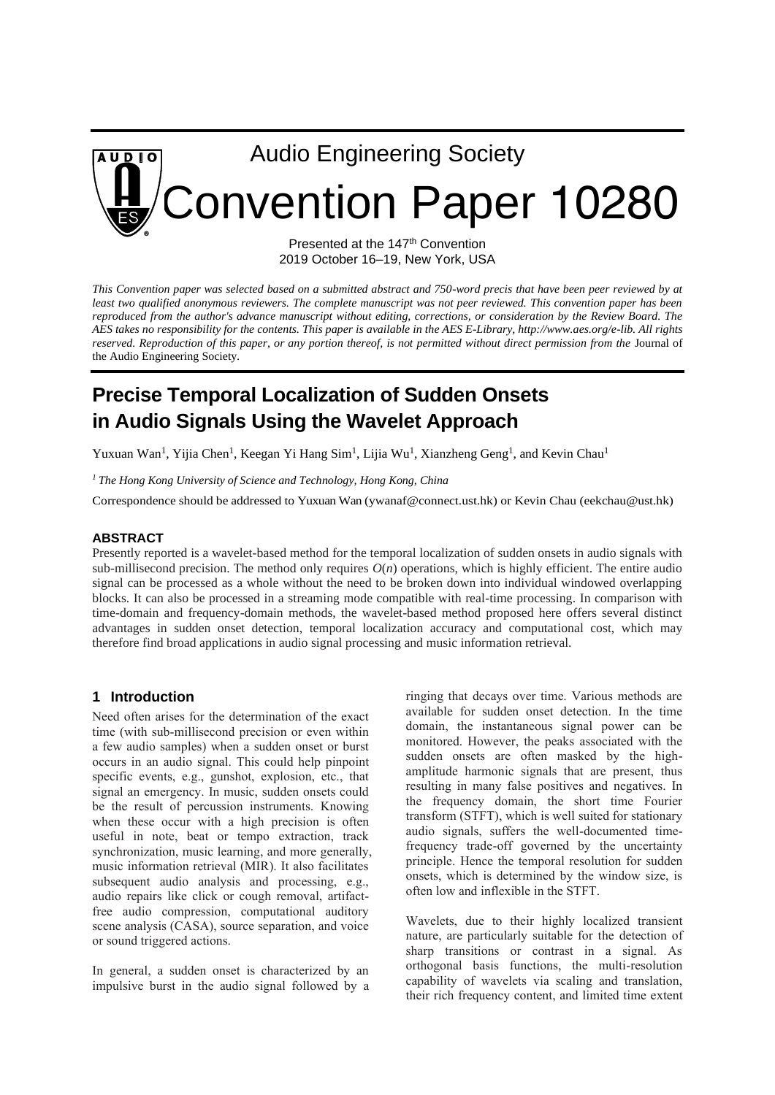

Presented at the 147<sup>th</sup> Convention 2019 October 16–19, New York, USA

*This Convention paper was selected based on a submitted abstract and 750-word precis that have been peer reviewed by at least two qualified anonymous reviewers. The complete manuscript was not peer reviewed. This convention paper has been*  reproduced from the author's advance manuscript without editing, corrections, or consideration by the Review Board. The *AES takes no responsibility for the contents. This paper is available in the AES E-Library, http://www.aes.org/e-lib. All rights reserved. Reproduction of this paper, or any portion thereof, is not permitted without direct permission from the* Journal of the Audio Engineering Society*.* 

# **Precise Temporal Localization of Sudden Onsets in Audio Signals Using the Wavelet Approach**

Yuxuan Wan<sup>1</sup>, Yijia Chen<sup>1</sup>, Keegan Yi Hang Sim<sup>1</sup>, Lijia Wu<sup>1</sup>, Xianzheng Geng<sup>1</sup>, and Kevin Chau<sup>1</sup>

*<sup>1</sup> The Hong Kong University of Science and Technology, Hong Kong, China*

Correspondence should be addressed to Yuxuan Wan (ywanaf@connect.ust.hk) or Kevin Chau (eekchau@ust.hk)

## **ABSTRACT**

Presently reported is a wavelet-based method for the temporal localization of sudden onsets in audio signals with sub-millisecond precision. The method only requires  $O(n)$  operations, which is highly efficient. The entire audio signal can be processed as a whole without the need to be broken down into individual windowed overlapping blocks. It can also be processed in a streaming mode compatible with real-time processing. In comparison with time-domain and frequency-domain methods, the wavelet-based method proposed here offers several distinct advantages in sudden onset detection, temporal localization accuracy and computational cost, which may therefore find broad applications in audio signal processing and music information retrieval.

## **1 Introduction**

Need often arises for the determination of the exact time (with sub-millisecond precision or even within a few audio samples) when a sudden onset or burst occurs in an audio signal. This could help pinpoint specific events, e.g., gunshot, explosion, etc., that signal an emergency. In music, sudden onsets could be the result of percussion instruments. Knowing when these occur with a high precision is often useful in note, beat or tempo extraction, track synchronization, music learning, and more generally, music information retrieval (MIR). It also facilitates subsequent audio analysis and processing, e.g., audio repairs like click or cough removal, artifactfree audio compression, computational auditory scene analysis (CASA), source separation, and voice or sound triggered actions.

In general, a sudden onset is characterized by an impulsive burst in the audio signal followed by a ringing that decays over time. Various methods are available for sudden onset detection. In the time domain, the instantaneous signal power can be monitored. However, the peaks associated with the sudden onsets are often masked by the highamplitude harmonic signals that are present, thus resulting in many false positives and negatives. In the frequency domain, the short time Fourier transform (STFT), which is well suited for stationary audio signals, suffers the well-documented timefrequency trade-off governed by the uncertainty principle. Hence the temporal resolution for sudden onsets, which is determined by the window size, is often low and inflexible in the STFT.

Wavelets, due to their highly localized transient nature, are particularly suitable for the detection of sharp transitions or contrast in a signal. As orthogonal basis functions, the multi-resolution capability of wavelets via scaling and translation, their rich frequency content, and limited time extent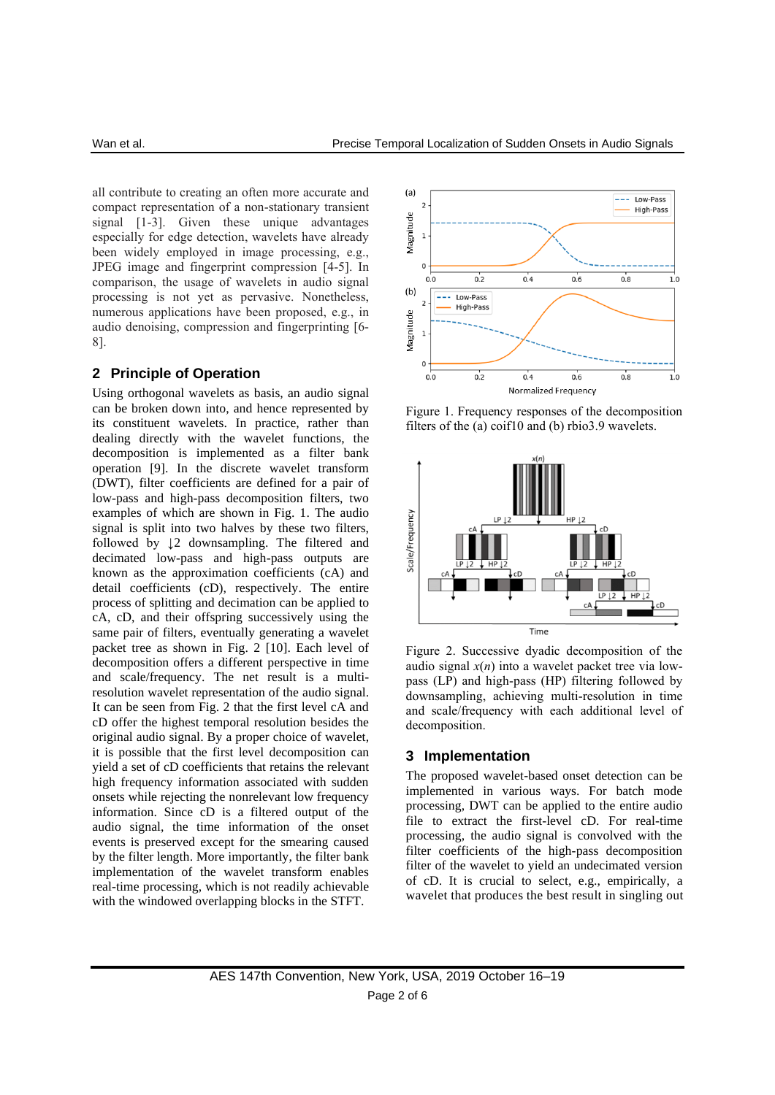all contribute to creating an often more accurate and compact representation of a non-stationary transient signal [1-3]. Given these unique advantages especially for edge detection, wavelets have already been widely employed in image processing, e.g., JPEG image and fingerprint compression [4-5]. In comparison, the usage of wavelets in audio signal processing is not yet as pervasive. Nonetheless, numerous applications have been proposed, e.g., in audio denoising, compression and fingerprinting [6- 8].

## **2 Principle of Operation**

Using orthogonal wavelets as basis, an audio signal can be broken down into, and hence represented by its constituent wavelets. In practice, rather than dealing directly with the wavelet functions, the decomposition is implemented as a filter bank operation [9]. In the discrete wavelet transform (DWT), filter coefficients are defined for a pair of low-pass and high-pass decomposition filters, two examples of which are shown in Fig. 1. The audio signal is split into two halves by these two filters, followed by ↓2 downsampling. The filtered and decimated low-pass and high-pass outputs are known as the approximation coefficients (cA) and detail coefficients (cD), respectively. The entire process of splitting and decimation can be applied to cA, cD, and their offspring successively using the same pair of filters, eventually generating a wavelet packet tree as shown in Fig. 2 [10]. Each level of decomposition offers a different perspective in time and scale/frequency. The net result is a multiresolution wavelet representation of the audio signal. It can be seen from Fig. 2 that the first level cA and cD offer the highest temporal resolution besides the original audio signal. By a proper choice of wavelet, it is possible that the first level decomposition can yield a set of cD coefficients that retains the relevant high frequency information associated with sudden onsets while rejecting the nonrelevant low frequency information. Since cD is a filtered output of the audio signal, the time information of the onset events is preserved except for the smearing caused by the filter length. More importantly, the filter bank implementation of the wavelet transform enables real-time processing, which is not readily achievable with the windowed overlapping blocks in the STFT.



Figure 1. Frequency responses of the decomposition filters of the (a) coif10 and (b) rbio3.9 wavelets.



Figure 2. Successive dyadic decomposition of the audio signal  $x(n)$  into a wavelet packet tree via lowpass (LP) and high-pass (HP) filtering followed by downsampling, achieving multi-resolution in time and scale/frequency with each additional level of decomposition.

#### **3 Implementation**

The proposed wavelet-based onset detection can be implemented in various ways. For batch mode processing, DWT can be applied to the entire audio file to extract the first-level cD. For real-time processing, the audio signal is convolved with the filter coefficients of the high-pass decomposition filter of the wavelet to yield an undecimated version of cD. It is crucial to select, e.g., empirically, a wavelet that produces the best result in singling out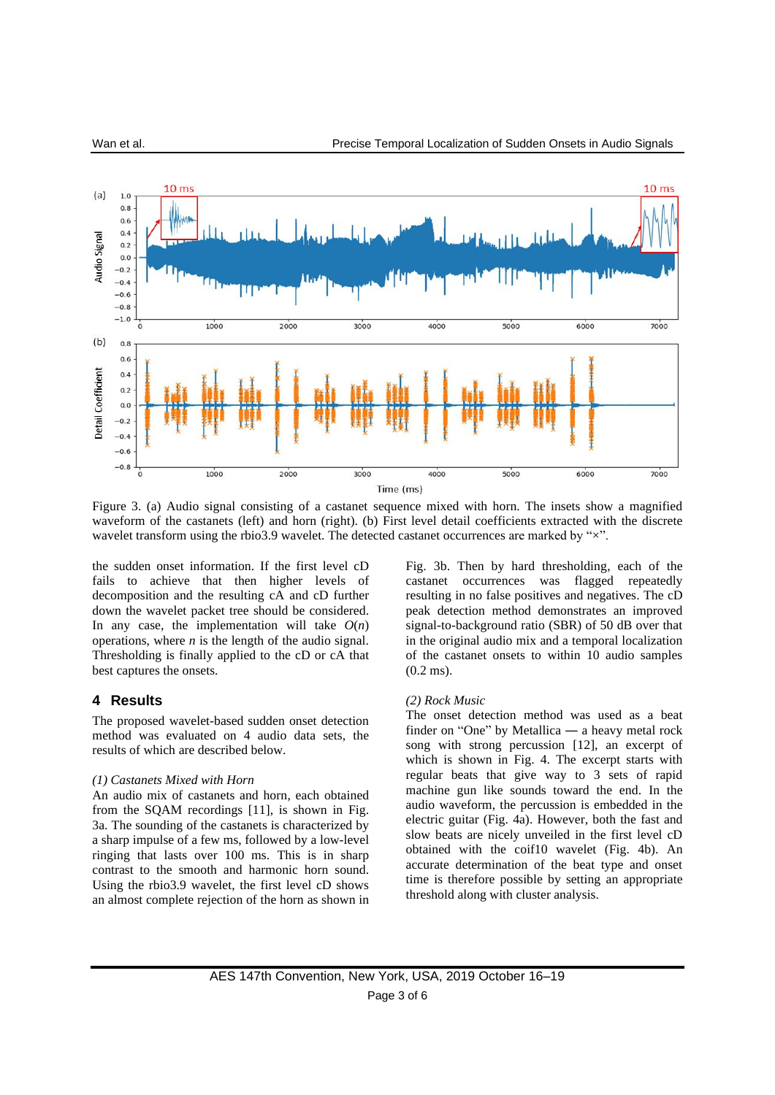

Figure 3. (a) Audio signal consisting of a castanet sequence mixed with horn. The insets show a magnified waveform of the castanets (left) and horn (right). (b) First level detail coefficients extracted with the discrete wavelet transform using the rbio3.9 wavelet. The detected castanet occurrences are marked by " $\times$ ".

the sudden onset information. If the first level cD fails to achieve that then higher levels of decomposition and the resulting cA and cD further down the wavelet packet tree should be considered. In any case, the implementation will take  $O(n)$ operations, where *n* is the length of the audio signal. Thresholding is finally applied to the cD or cA that best captures the onsets.

## **4 Results**

The proposed wavelet-based sudden onset detection method was evaluated on 4 audio data sets, the results of which are described below.

#### *(1) Castanets Mixed with Horn*

An audio mix of castanets and horn, each obtained from the SQAM recordings [11], is shown in Fig. 3a. The sounding of the castanets is characterized by a sharp impulse of a few ms, followed by a low-level ringing that lasts over 100 ms. This is in sharp contrast to the smooth and harmonic horn sound. Using the rbio3.9 wavelet, the first level cD shows an almost complete rejection of the horn as shown in Fig. 3b. Then by hard thresholding, each of the castanet occurrences was flagged repeatedly resulting in no false positives and negatives. The cD peak detection method demonstrates an improved signal-to-background ratio (SBR) of 50 dB over that in the original audio mix and a temporal localization of the castanet onsets to within 10 audio samples (0.2 ms).

#### *(2) Rock Music*

The onset detection method was used as a beat finder on "One" by Metallica ― a heavy metal rock song with strong percussion [12], an excerpt of which is shown in Fig. 4. The excerpt starts with regular beats that give way to 3 sets of rapid machine gun like sounds toward the end. In the audio waveform, the percussion is embedded in the electric guitar (Fig. 4a). However, both the fast and slow beats are nicely unveiled in the first level cD obtained with the coif10 wavelet (Fig. 4b). An accurate determination of the beat type and onset time is therefore possible by setting an appropriate threshold along with cluster analysis.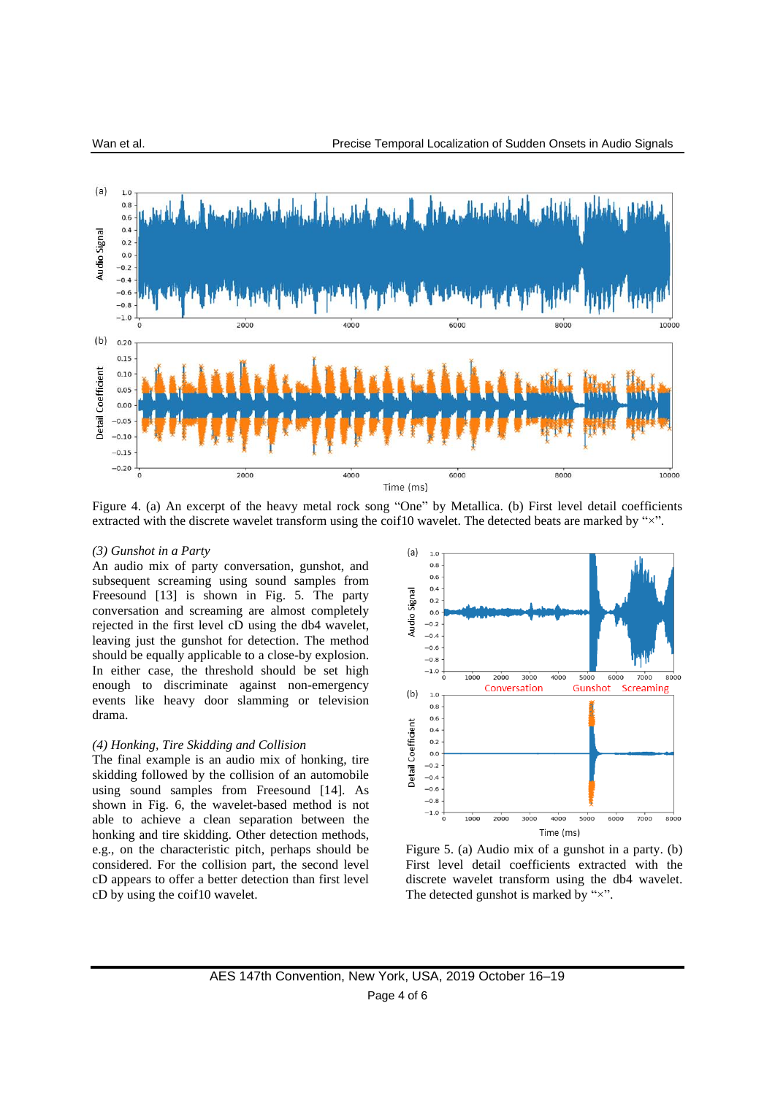

Figure 4. (a) An excerpt of the heavy metal rock song "One" by Metallica. (b) First level detail coefficients extracted with the discrete wavelet transform using the coif10 wavelet. The detected beats are marked by "×".

#### *(3) Gunshot in a Party*

An audio mix of party conversation, gunshot, and subsequent screaming using sound samples from Freesound [13] is shown in Fig. 5. The party conversation and screaming are almost completely rejected in the first level cD using the db4 wavelet, leaving just the gunshot for detection. The method should be equally applicable to a close-by explosion. In either case, the threshold should be set high enough to discriminate against non-emergency events like heavy door slamming or television drama.

#### *(4) Honking, Tire Skidding and Collision*

The final example is an audio mix of honking, tire skidding followed by the collision of an automobile using sound samples from Freesound [14]. As shown in Fig. 6, the wavelet-based method is not able to achieve a clean separation between the honking and tire skidding. Other detection methods, e.g., on the characteristic pitch, perhaps should be considered. For the collision part, the second level cD appears to offer a better detection than first level cD by using the coif10 wavelet.



Figure 5. (a) Audio mix of a gunshot in a party. (b) First level detail coefficients extracted with the discrete wavelet transform using the db4 wavelet. The detected gunshot is marked by " $\times$ ".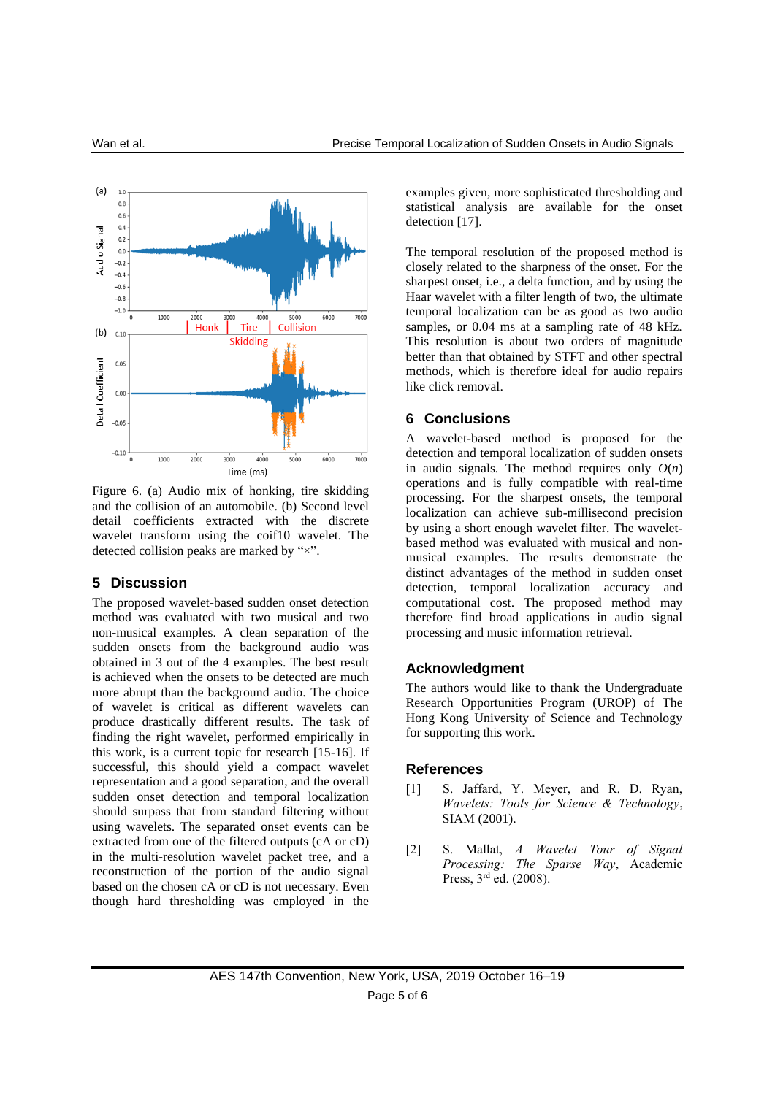

Figure 6. (a) Audio mix of honking, tire skidding and the collision of an automobile. (b) Second level detail coefficients extracted with the discrete wavelet transform using the coif10 wavelet. The detected collision peaks are marked by "×".

## **5 Discussion**

The proposed wavelet-based sudden onset detection method was evaluated with two musical and two non-musical examples. A clean separation of the sudden onsets from the background audio was obtained in 3 out of the 4 examples. The best result is achieved when the onsets to be detected are much more abrupt than the background audio. The choice of wavelet is critical as different wavelets can produce drastically different results. The task of finding the right wavelet, performed empirically in this work, is a current topic for research [15-16]. If successful, this should yield a compact wavelet representation and a good separation, and the overall sudden onset detection and temporal localization should surpass that from standard filtering without using wavelets. The separated onset events can be extracted from one of the filtered outputs (cA or cD) in the multi-resolution wavelet packet tree, and a reconstruction of the portion of the audio signal based on the chosen cA or cD is not necessary. Even though hard thresholding was employed in the

examples given, more sophisticated thresholding and statistical analysis are available for the onset detection [17].

The temporal resolution of the proposed method is closely related to the sharpness of the onset. For the sharpest onset, i.e., a delta function, and by using the Haar wavelet with a filter length of two, the ultimate temporal localization can be as good as two audio samples, or 0.04 ms at a sampling rate of 48 kHz. This resolution is about two orders of magnitude better than that obtained by STFT and other spectral methods, which is therefore ideal for audio repairs like click removal.

## **6 Conclusions**

A wavelet-based method is proposed for the detection and temporal localization of sudden onsets in audio signals. The method requires only  $O(n)$ operations and is fully compatible with real-time processing. For the sharpest onsets, the temporal localization can achieve sub-millisecond precision by using a short enough wavelet filter. The waveletbased method was evaluated with musical and nonmusical examples. The results demonstrate the distinct advantages of the method in sudden onset detection, temporal localization accuracy and computational cost. The proposed method may therefore find broad applications in audio signal processing and music information retrieval.

## **Acknowledgment**

The authors would like to thank the Undergraduate Research Opportunities Program (UROP) of The Hong Kong University of Science and Technology for supporting this work.

#### **References**

- [1] S. Jaffard, Y. Meyer, and R. D. Ryan, *Wavelets: Tools for Science & Technology*, SIAM (2001).
- [2] S. Mallat, *A Wavelet Tour of Signal Processing: The Sparse Way*, Academic Press, 3<sup>rd</sup> ed. (2008).